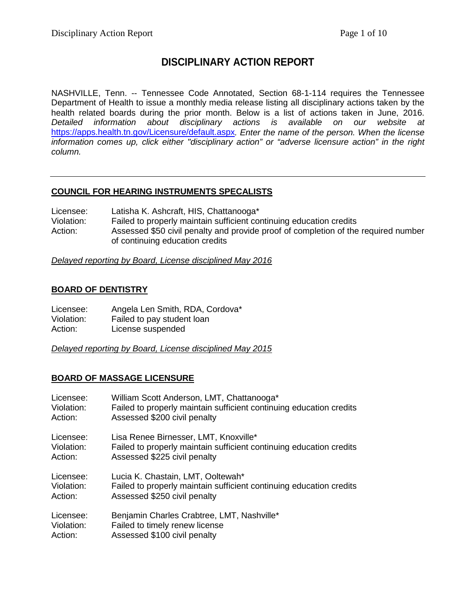# **DISCIPLINARY ACTION REPORT**

NASHVILLE, Tenn. -- Tennessee Code Annotated, Section 68-1-114 requires the Tennessee Department of Health to issue a monthly media release listing all disciplinary actions taken by the health related boards during the prior month. Below is a list of actions taken in June, 2016. *Detailed information about disciplinary actions is available on our website at* <https://apps.health.tn.gov/Licensure/default.aspx>*. Enter the name of the person. When the license information comes up, click either "disciplinary action" or "adverse licensure action" in the right column.*

# **COUNCIL FOR HEARING INSTRUMENTS SPECALISTS**

Licensee: Latisha K. Ashcraft, HIS, Chattanooga\*<br>Violation: Failed to properly maintain sufficient co Failed to properly maintain sufficient continuing education credits Action: Assessed \$50 civil penalty and provide proof of completion of the required number of continuing education credits

*Delayed reporting by Board, License disciplined May 2016*

# **BOARD OF DENTISTRY**

| Licensee:  | Angela Len Smith, RDA, Cordova* |
|------------|---------------------------------|
| Violation: | Failed to pay student loan      |
| Action:    | License suspended               |

*Delayed reporting by Board, License disciplined May 2015*

# **BOARD OF MASSAGE LICENSURE**

| Licensee:  | William Scott Anderson, LMT, Chattanooga*                           |
|------------|---------------------------------------------------------------------|
| Violation: | Failed to properly maintain sufficient continuing education credits |
| Action:    | Assessed \$200 civil penalty                                        |
| Licensee:  | Lisa Renee Birnesser, LMT, Knoxville*                               |
| Violation: | Failed to properly maintain sufficient continuing education credits |
| Action:    | Assessed \$225 civil penalty                                        |
| Licensee:  | Lucia K. Chastain, LMT, Ooltewah*                                   |
| Violation: | Failed to properly maintain sufficient continuing education credits |
| Action:    | Assessed \$250 civil penalty                                        |
| Licensee:  | Benjamin Charles Crabtree, LMT, Nashville*                          |
| Violation: | Failed to timely renew license                                      |
| Action:    | Assessed \$100 civil penalty                                        |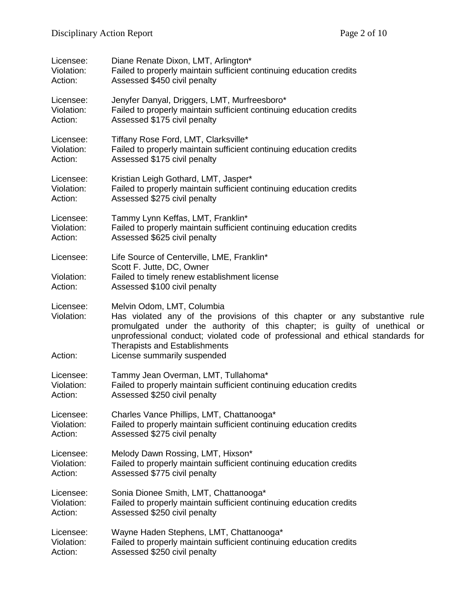| Licensee:                          | Diane Renate Dixon, LMT, Arlington*                                                                                                                                                                                                                                                                                                              |
|------------------------------------|--------------------------------------------------------------------------------------------------------------------------------------------------------------------------------------------------------------------------------------------------------------------------------------------------------------------------------------------------|
| Violation:                         | Failed to properly maintain sufficient continuing education credits                                                                                                                                                                                                                                                                              |
| Action:                            | Assessed \$450 civil penalty                                                                                                                                                                                                                                                                                                                     |
| Licensee:                          | Jenyfer Danyal, Driggers, LMT, Murfreesboro*                                                                                                                                                                                                                                                                                                     |
| Violation:                         | Failed to properly maintain sufficient continuing education credits                                                                                                                                                                                                                                                                              |
| Action:                            | Assessed \$175 civil penalty                                                                                                                                                                                                                                                                                                                     |
| Licensee:                          | Tiffany Rose Ford, LMT, Clarksville*                                                                                                                                                                                                                                                                                                             |
| Violation:                         | Failed to properly maintain sufficient continuing education credits                                                                                                                                                                                                                                                                              |
| Action:                            | Assessed \$175 civil penalty                                                                                                                                                                                                                                                                                                                     |
| Licensee:                          | Kristian Leigh Gothard, LMT, Jasper*                                                                                                                                                                                                                                                                                                             |
| Violation:                         | Failed to properly maintain sufficient continuing education credits                                                                                                                                                                                                                                                                              |
| Action:                            | Assessed \$275 civil penalty                                                                                                                                                                                                                                                                                                                     |
| Licensee:                          | Tammy Lynn Keffas, LMT, Franklin*                                                                                                                                                                                                                                                                                                                |
| Violation:                         | Failed to properly maintain sufficient continuing education credits                                                                                                                                                                                                                                                                              |
| Action:                            | Assessed \$625 civil penalty                                                                                                                                                                                                                                                                                                                     |
| Licensee:<br>Violation:<br>Action: | Life Source of Centerville, LME, Franklin*<br>Scott F. Jutte, DC, Owner<br>Failed to timely renew establishment license<br>Assessed \$100 civil penalty                                                                                                                                                                                          |
| Licensee:<br>Violation:<br>Action: | Melvin Odom, LMT, Columbia<br>Has violated any of the provisions of this chapter or any substantive rule<br>promulgated under the authority of this chapter; is guilty of unethical or<br>unprofessional conduct; violated code of professional and ethical standards for<br><b>Therapists and Establishments</b><br>License summarily suspended |
| Licensee:                          | Tammy Jean Overman, LMT, Tullahoma*                                                                                                                                                                                                                                                                                                              |
| Violation:                         | Failed to properly maintain sufficient continuing education credits                                                                                                                                                                                                                                                                              |
| Action:                            | Assessed \$250 civil penalty                                                                                                                                                                                                                                                                                                                     |
| Licensee:                          | Charles Vance Phillips, LMT, Chattanooga*                                                                                                                                                                                                                                                                                                        |
| Violation:                         | Failed to properly maintain sufficient continuing education credits                                                                                                                                                                                                                                                                              |
| Action:                            | Assessed \$275 civil penalty                                                                                                                                                                                                                                                                                                                     |
| Licensee:                          | Melody Dawn Rossing, LMT, Hixson*                                                                                                                                                                                                                                                                                                                |
| Violation:                         | Failed to properly maintain sufficient continuing education credits                                                                                                                                                                                                                                                                              |
| Action:                            | Assessed \$775 civil penalty                                                                                                                                                                                                                                                                                                                     |
| Licensee:                          | Sonia Dionee Smith, LMT, Chattanooga*                                                                                                                                                                                                                                                                                                            |
| Violation:                         | Failed to properly maintain sufficient continuing education credits                                                                                                                                                                                                                                                                              |
| Action:                            | Assessed \$250 civil penalty                                                                                                                                                                                                                                                                                                                     |
| Licensee:                          | Wayne Haden Stephens, LMT, Chattanooga*                                                                                                                                                                                                                                                                                                          |
| Violation:                         | Failed to properly maintain sufficient continuing education credits                                                                                                                                                                                                                                                                              |
| Action:                            | Assessed \$250 civil penalty                                                                                                                                                                                                                                                                                                                     |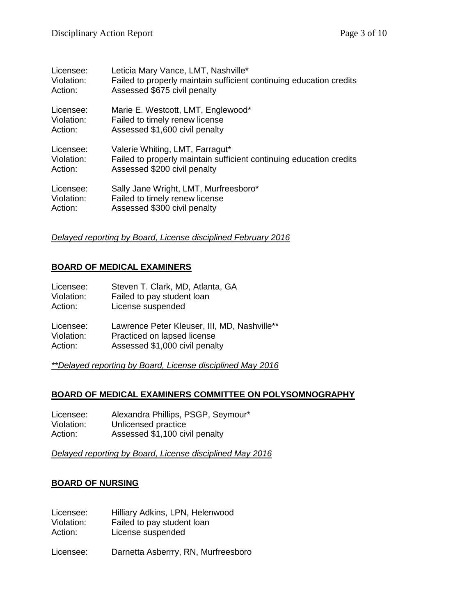| Licensee:  | Leticia Mary Vance, LMT, Nashville*                                 |
|------------|---------------------------------------------------------------------|
| Violation: | Failed to properly maintain sufficient continuing education credits |
| Action:    | Assessed \$675 civil penalty                                        |
| Licensee:  | Marie E. Westcott, LMT, Englewood*                                  |
| Violation: | Failed to timely renew license                                      |
| Action:    | Assessed \$1,600 civil penalty                                      |
| Licensee:  | Valerie Whiting, LMT, Farragut*                                     |
| Violation: | Failed to properly maintain sufficient continuing education credits |
| Action:    | Assessed \$200 civil penalty                                        |
| Licensee:  | Sally Jane Wright, LMT, Murfreesboro*                               |
| Violation: | Failed to timely renew license                                      |
| Action:    | Assessed \$300 civil penalty                                        |

#### *Delayed reporting by Board, License disciplined February 2016*

### **BOARD OF MEDICAL EXAMINERS**

| Licensee:  | Steven T. Clark, MD, Atlanta, GA             |
|------------|----------------------------------------------|
| Violation: | Failed to pay student loan                   |
| Action:    | License suspended                            |
| Licensee:  | Lawrence Peter Kleuser, III, MD, Nashville** |
| Violation: | Practiced on lapsed license                  |
| Action:    | Assessed \$1,000 civil penalty               |

*\*\*Delayed reporting by Board, License disciplined May 2016*

### **BOARD OF MEDICAL EXAMINERS COMMITTEE ON POLYSOMNOGRAPHY**

Licensee: Alexandra Phillips, PSGP, Seymour\* Violation: Unlicensed practice<br>Action: Assessed \$1,100 civ Assessed  $$1,100$  civil penalty

*Delayed reporting by Board, License disciplined May 2016*

#### **BOARD OF NURSING**

| Licensee:  | Hilliary Adkins, LPN, Helenwood     |
|------------|-------------------------------------|
| Violation: | Failed to pay student loan          |
| Action:    | License suspended                   |
| Licensee:  | Darnetta Asberrry, RN, Murfreesboro |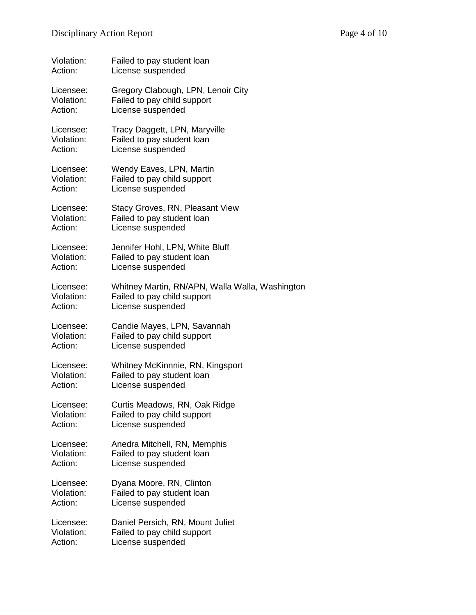| Violation: | Failed to pay student loan                      |
|------------|-------------------------------------------------|
| Action:    | License suspended                               |
| Licensee:  | Gregory Clabough, LPN, Lenoir City              |
| Violation: | Failed to pay child support                     |
| Action:    | License suspended                               |
| Licensee:  | Tracy Daggett, LPN, Maryville                   |
| Violation: | Failed to pay student loan                      |
| Action:    | License suspended                               |
| Licensee:  | Wendy Eaves, LPN, Martin                        |
| Violation: | Failed to pay child support                     |
| Action:    | License suspended                               |
| Licensee:  | Stacy Groves, RN, Pleasant View                 |
| Violation: | Failed to pay student loan                      |
| Action:    | License suspended                               |
| Licensee:  | Jennifer Hohl, LPN, White Bluff                 |
| Violation: | Failed to pay student loan                      |
| Action:    | License suspended                               |
| Licensee:  | Whitney Martin, RN/APN, Walla Walla, Washington |
| Violation: | Failed to pay child support                     |
| Action:    | License suspended                               |
| Licensee:  | Candie Mayes, LPN, Savannah                     |
| Violation: | Failed to pay child support                     |
| Action:    | License suspended                               |
| Licensee:  | Whitney McKinnnie, RN, Kingsport                |
| Violation: | Failed to pay student loan                      |
| Action:    | License suspended                               |
| Licensee:  | Curtis Meadows, RN, Oak Ridge                   |
| Violation: | Failed to pay child support                     |
| Action:    | License suspended                               |
| Licensee:  | Anedra Mitchell, RN, Memphis                    |
| Violation: | Failed to pay student loan                      |
| Action:    | License suspended                               |
| Licensee:  | Dyana Moore, RN, Clinton                        |
| Violation: | Failed to pay student loan                      |
| Action:    | License suspended                               |
| Licensee:  | Daniel Persich, RN, Mount Juliet                |
| Violation: | Failed to pay child support                     |
| Action:    | License suspended                               |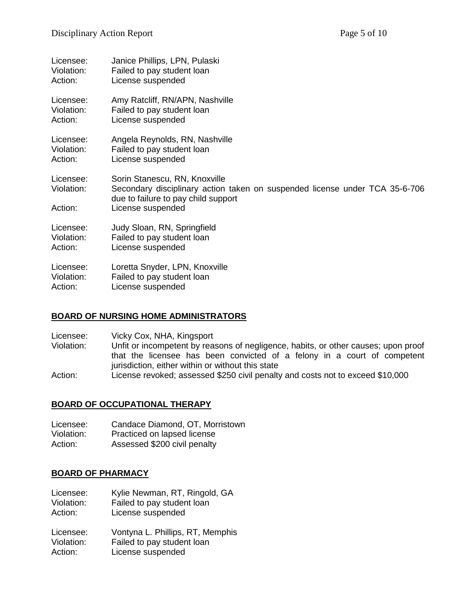| Licensee:                          | Janice Phillips, LPN, Pulaski                                                                                                                                            |
|------------------------------------|--------------------------------------------------------------------------------------------------------------------------------------------------------------------------|
| Violation:                         | Failed to pay student loan                                                                                                                                               |
| Action:                            | License suspended                                                                                                                                                        |
| Licensee:                          | Amy Ratcliff, RN/APN, Nashville                                                                                                                                          |
| Violation:                         | Failed to pay student loan                                                                                                                                               |
| Action:                            | License suspended                                                                                                                                                        |
| Licensee:                          | Angela Reynolds, RN, Nashville                                                                                                                                           |
| Violation:                         | Failed to pay student loan                                                                                                                                               |
| Action:                            | License suspended                                                                                                                                                        |
| Licensee:<br>Violation:<br>Action: | Sorin Stanescu, RN, Knoxville<br>Secondary disciplinary action taken on suspended license under TCA 35-6-706<br>due to failure to pay child support<br>License suspended |
| Licensee:                          | Judy Sloan, RN, Springfield                                                                                                                                              |
| Violation:                         | Failed to pay student loan                                                                                                                                               |
| Action:                            | License suspended                                                                                                                                                        |
| Licensee:                          | Loretta Snyder, LPN, Knoxville                                                                                                                                           |
| Violation:                         | Failed to pay student loan                                                                                                                                               |
| Action:                            | License suspended                                                                                                                                                        |

### **BOARD OF NURSING HOME ADMINISTRATORS**

- Licensee: Vicky Cox, NHA, Kingsport<br>Violation: Unfit or incompetent by reas Unfit or incompetent by reasons of negligence, habits, or other causes; upon proof that the licensee has been convicted of a felony in a court of competent jurisdiction, either within or without this state
- Action: License revoked; assessed \$250 civil penalty and costs not to exceed \$10,000

#### **BOARD OF OCCUPATIONAL THERAPY**

| Licensee:  | Candace Diamond, OT, Morristown |
|------------|---------------------------------|
| Violation: | Practiced on lapsed license     |
| Action:    | Assessed \$200 civil penalty    |

#### **BOARD OF PHARMACY**

| Licensee:  | Kylie Newman, RT, Ringold, GA |
|------------|-------------------------------|
| Violation: | Failed to pay student loan    |

Action: License suspended

| Licensee:  | Vontyna L. Phillips, RT, Memphis |
|------------|----------------------------------|
| Violation: | Failed to pay student loan       |
| Action:    | License suspended                |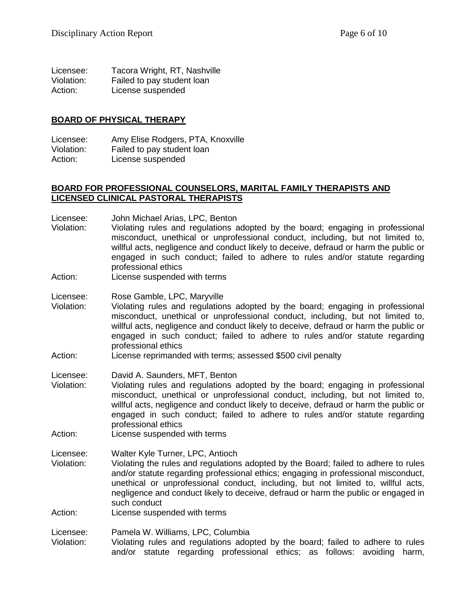| Licensee:  | Tacora Wright, RT, Nashville |
|------------|------------------------------|
| Violation: | Failed to pay student loan   |
| Action:    | License suspended            |

#### **BOARD OF PHYSICAL THERAPY**

Licensee: Amy Elise Rodgers, PTA, Knoxville Violation: Failed to pay student loan Action: License suspended

#### **BOARD FOR PROFESSIONAL COUNSELORS, MARITAL FAMILY THERAPISTS AND LICENSED CLINICAL PASTORAL THERAPISTS**

- Licensee: John Michael Arias, LPC, Benton<br>Violation: Violating rules and regulations a
- Violation: Violating rules and regulations adopted by the board; engaging in professional misconduct, unethical or unprofessional conduct, including, but not limited to, willful acts, negligence and conduct likely to deceive, defraud or harm the public or engaged in such conduct; failed to adhere to rules and/or statute regarding professional ethics
- Action: License suspended with terms
- Licensee: Rose Gamble, LPC, Maryville
- Violation: Violating rules and regulations adopted by the board; engaging in professional misconduct, unethical or unprofessional conduct, including, but not limited to, willful acts, negligence and conduct likely to deceive, defraud or harm the public or engaged in such conduct; failed to adhere to rules and/or statute regarding professional ethics
- Action: License reprimanded with terms; assessed \$500 civil penalty
- Licensee: David A. Saunders, MFT, Benton
- Violation: Violating rules and regulations adopted by the board; engaging in professional misconduct, unethical or unprofessional conduct, including, but not limited to, willful acts, negligence and conduct likely to deceive, defraud or harm the public or engaged in such conduct; failed to adhere to rules and/or statute regarding professional ethics
- Action: License suspended with terms

Licensee: Walter Kyle Turner, LPC, Antioch

- Violation: Violating the rules and regulations adopted by the Board; failed to adhere to rules and/or statute regarding professional ethics; engaging in professional misconduct, unethical or unprofessional conduct, including, but not limited to, willful acts, negligence and conduct likely to deceive, defraud or harm the public or engaged in such conduct
- Action: License suspended with terms

Licensee: Pamela W. Williams, LPC, Columbia

Violation: Violating rules and regulations adopted by the board; failed to adhere to rules and/or statute regarding professional ethics; as follows: avoiding harm,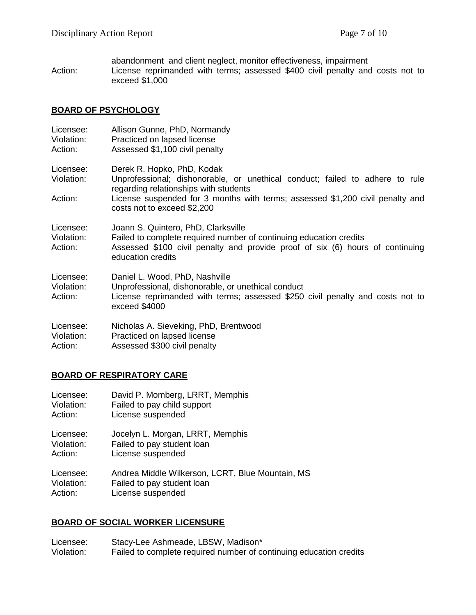abandonment and client neglect, monitor effectiveness, impairment Action: License reprimanded with terms; assessed \$400 civil penalty and costs not to exceed \$1,000

### **BOARD OF PSYCHOLOGY**

| Licensee:<br>Violation:<br>Action: | Allison Gunne, PhD, Normandy<br>Practiced on lapsed license<br>Assessed \$1,100 civil penalty                                                                                                                                                                       |
|------------------------------------|---------------------------------------------------------------------------------------------------------------------------------------------------------------------------------------------------------------------------------------------------------------------|
| Licensee:<br>Violation:<br>Action: | Derek R. Hopko, PhD, Kodak<br>Unprofessional; dishonorable, or unethical conduct; failed to adhere to rule<br>regarding relationships with students<br>License suspended for 3 months with terms; assessed \$1,200 civil penalty and<br>costs not to exceed \$2,200 |
| Licensee:<br>Violation:<br>Action: | Joann S. Quintero, PhD, Clarksville<br>Failed to complete required number of continuing education credits<br>Assessed \$100 civil penalty and provide proof of six (6) hours of continuing<br>education credits                                                     |
| Licensee:<br>Violation:<br>Action: | Daniel L. Wood, PhD, Nashville<br>Unprofessional, dishonorable, or unethical conduct<br>License reprimanded with terms; assessed \$250 civil penalty and costs not to<br>exceed \$4000                                                                              |
| Licensee:<br>Violation:<br>Action: | Nicholas A. Sieveking, PhD, Brentwood<br>Practiced on lapsed license<br>Assessed \$300 civil penalty                                                                                                                                                                |

# **BOARD OF RESPIRATORY CARE**

| Licensee:  | David P. Momberg, LRRT, Memphis                  |
|------------|--------------------------------------------------|
| Violation: | Failed to pay child support                      |
| Action:    | License suspended                                |
| Licensee:  | Jocelyn L. Morgan, LRRT, Memphis                 |
| Violation: | Failed to pay student loan                       |
| Action:    | License suspended                                |
| Licensee:  | Andrea Middle Wilkerson, LCRT, Blue Mountain, MS |
| Violation: | Failed to pay student loan                       |
| Action:    | License suspended                                |

# **BOARD OF SOCIAL WORKER LICENSURE**

Licensee: Stacy-Lee Ashmeade, LBSW, Madison\*<br>Violation: Failed to complete required number of co Failed to complete required number of continuing education credits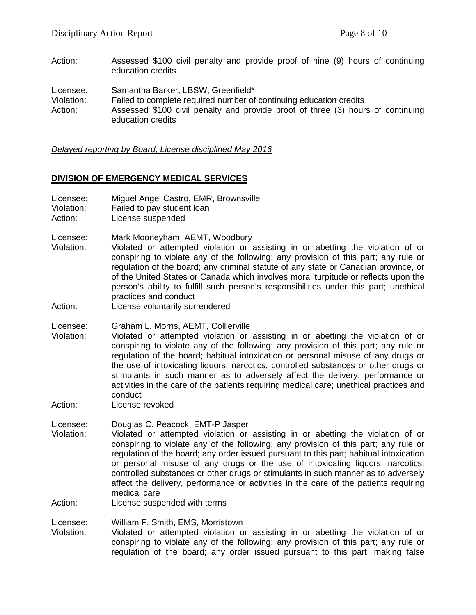Action: Assessed \$100 civil penalty and provide proof of nine (9) hours of continuing education credits

Licensee: Samantha Barker, LBSW, Greenfield\*

Violation: Failed to complete required number of continuing education credits

Action: Assessed \$100 civil penalty and provide proof of three (3) hours of continuing education credits

#### *Delayed reporting by Board, License disciplined May 2016*

#### **DIVISION OF EMERGENCY MEDICAL SERVICES**

- Licensee: Miguel Angel Castro, EMR, Brownsville
- Violation: Failed to pay student loan
- Action: License suspended
- Licensee: Mark Mooneyham, AEMT, Woodbury
- Violation: Violated or attempted violation or assisting in or abetting the violation of or conspiring to violate any of the following; any provision of this part; any rule or regulation of the board; any criminal statute of any state or Canadian province, or of the United States or Canada which involves moral turpitude or reflects upon the person's ability to fulfill such person's responsibilities under this part; unethical practices and conduct
- Action: License voluntarily surrendered
- Licensee: Graham L. Morris, AEMT, Collierville
- Violation: Violated or attempted violation or assisting in or abetting the violation of or conspiring to violate any of the following; any provision of this part; any rule or regulation of the board; habitual intoxication or personal misuse of any drugs or the use of intoxicating liquors, narcotics, controlled substances or other drugs or stimulants in such manner as to adversely affect the delivery, performance or activities in the care of the patients requiring medical care; unethical practices and conduct
- Action: License revoked

Licensee: Douglas C. Peacock, EMT-P Jasper<br>Violation: Violated or attempted violation or

Violation: Violated or attempted violation or assisting in or abetting the violation of or conspiring to violate any of the following; any provision of this part; any rule or regulation of the board; any order issued pursuant to this part; habitual intoxication or personal misuse of any drugs or the use of intoxicating liquors, narcotics, controlled substances or other drugs or stimulants in such manner as to adversely affect the delivery, performance or activities in the care of the patients requiring medical care

Action: License suspended with terms

#### Licensee: William F. Smith, EMS, Morristown

Violation: Violated or attempted violation or assisting in or abetting the violation of or conspiring to violate any of the following; any provision of this part; any rule or regulation of the board; any order issued pursuant to this part; making false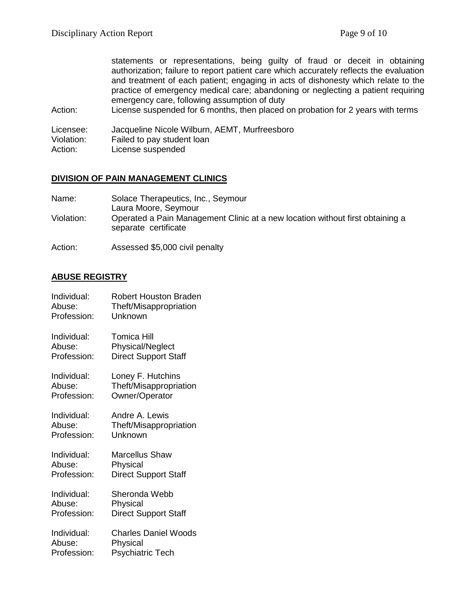statements or representations, being guilty of fraud or deceit in obtaining authorization; failure to report patient care which accurately reflects the evaluation and treatment of each patient; engaging in acts of dishonesty which relate to the practice of emergency medical care; abandoning or neglecting a patient requiring emergency care, following assumption of duty

Action: License suspended for 6 months, then placed on probation for 2 years with terms

Licensee: Jacqueline Nicole Wilburn, AEMT, Murfreesboro<br>Violation: Failed to pay student loan

- Failed to pay student loan
- Action: License suspended

#### **DIVISION OF PAIN MANAGEMENT CLINICS**

| Name:      | Solace Therapeutics, Inc., Seymour                                                                    |
|------------|-------------------------------------------------------------------------------------------------------|
|            | Laura Moore, Seymour                                                                                  |
| Violation: | Operated a Pain Management Clinic at a new location without first obtaining a<br>separate certificate |

Action: Assessed \$5,000 civil penalty

# **ABUSE REGISTRY**

| Individual: | <b>Robert Houston Braden</b> |
|-------------|------------------------------|
| Abuse:      | Theft/Misappropriation       |
| Profession: | Unknown                      |
| Individual: | Tomica Hill                  |
| Abuse:      | Physical/Neglect             |
| Profession: | <b>Direct Support Staff</b>  |
| Individual: | Loney F. Hutchins            |
| Abuse:      | Theft/Misappropriation       |
| Profession: | Owner/Operator               |
| Individual: | Andre A. Lewis               |
| Abuse:      | Theft/Misappropriation       |
| Profession: | Unknown                      |
| Individual: | Marcellus Shaw               |
| Abuse:      | Physical                     |
| Profession: | <b>Direct Support Staff</b>  |
| Individual: | Sheronda Webb                |
| Abuse:      | Physical                     |
| Profession: | <b>Direct Support Staff</b>  |
| Individual: | Charles Daniel Woods         |
| Abuse:      | Physical                     |
| Profession: | <b>Psychiatric Tech</b>      |